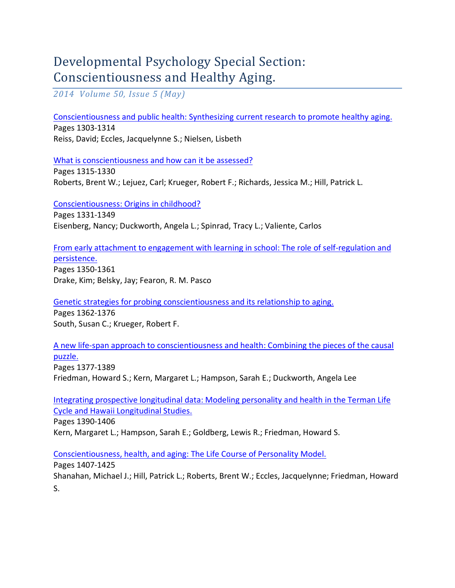## Developmental Psychology Special Section: Conscientiousness and Healthy Aging.

*2014 Volume 50, Issue 5 (May)* 

[Conscientiousness and public health: Synthesizing current research to promote healthy aging.](http://www.ncbi.nlm.nih.gov/pubmed/?term=Conscientiousness+and+public+health%3A+Synthesizing+current+research+to+promote+healthy+aging.)

Pages 1303-1314 Reiss, David; Eccles, Jacquelynne S.; Nielsen, Lisbeth

[What is conscientiousness and](http://www.ncbi.nlm.nih.gov/pubmed/?term=Roberts%2C+Brent+W.%3B+Lejuez%2C+Carl%3B+Krueger%2C+Robert+F.%3B+Richards%2C+Jessica+M.%3B+Hill%2C+Patrick+L.) how can it be assessed?

Pages 1315-1330 Roberts, Brent W.; Lejuez, Carl; Krueger, Robert F.; Richards, Jessica M.; Hill, Patrick L.

[Conscientiousness: Origins in childhood?](http://www.ncbi.nlm.nih.gov/pubmed/?term=Conscientiousness%3A+Origins+in+childhood%3F)

Pages 1331-1349 Eisenberg, Nancy; Duckworth, Angela L.; Spinrad, Tracy L.; Valiente, Carlos

## [From early attachment to engagement with learning in school: The role of self-regulation and](http://www.ncbi.nlm.nih.gov/pubmed/?term=From+early+attachment+to+engagement+with+learning+in+school%3A+The+role+of+self-regulation+and+persistence.)  [persistence.](http://www.ncbi.nlm.nih.gov/pubmed/?term=From+early+attachment+to+engagement+with+learning+in+school%3A+The+role+of+self-regulation+and+persistence.)

Pages 1350-1361 Drake, Kim; Belsky, Jay; Fearon, R. M. Pasco

[Genetic strategies for probing conscientiousness and its relationship to aging.](http://www.ncbi.nlm.nih.gov/pubmed/?term=Genetic+strategies+for+probing+conscientiousness+and+its+relationship+to+aging.)

Pages 1362-1376 South, Susan C.; Krueger, Robert F.

## [A new life-span approach to conscientiousness and health: Combining the pieces of the causal](http://www.ncbi.nlm.nih.gov/pubmed/?term=A+new+life-span+approach+to+conscientiousness+and+health%3A+Combining+the+pieces+of+the+causal+puzzle.)  [puzzle.](http://www.ncbi.nlm.nih.gov/pubmed/?term=A+new+life-span+approach+to+conscientiousness+and+health%3A+Combining+the+pieces+of+the+causal+puzzle.)

Pages 1377-1389 Friedman, Howard S.; Kern, Margaret L.; Hampson, Sarah E.; Duckworth, Angela Lee

[Integrating prospective longitudinal data: Modeling personality and health in the Terman Life](http://www.ncbi.nlm.nih.gov/pubmed/?term=Integrating+prospective+longitudinal+data%3A+Modeling+personality+and+health+in+the+Terman+Life+Cycle+and+Hawaii+Longitudinal+Studies.)  [Cycle and Hawaii Longitudinal Studies.](http://www.ncbi.nlm.nih.gov/pubmed/?term=Integrating+prospective+longitudinal+data%3A+Modeling+personality+and+health+in+the+Terman+Life+Cycle+and+Hawaii+Longitudinal+Studies.)

Pages 1390-1406

Kern, Margaret L.; Hampson, Sarah E.; Goldberg, Lewis R.; Friedman, Howard S.

[Conscientiousness, health, and aging: The Life Course of Personality Model.](http://www.ncbi.nlm.nih.gov/pubmed/?term=Conscientiousness%2C+health%2C+and+aging%3A+The+Life+Course+of+Personality+Model.)

Pages 1407-1425

Shanahan, Michael J.; Hill, Patrick L.; Roberts, Brent W.; Eccles, Jacquelynne; Friedman, Howard S.